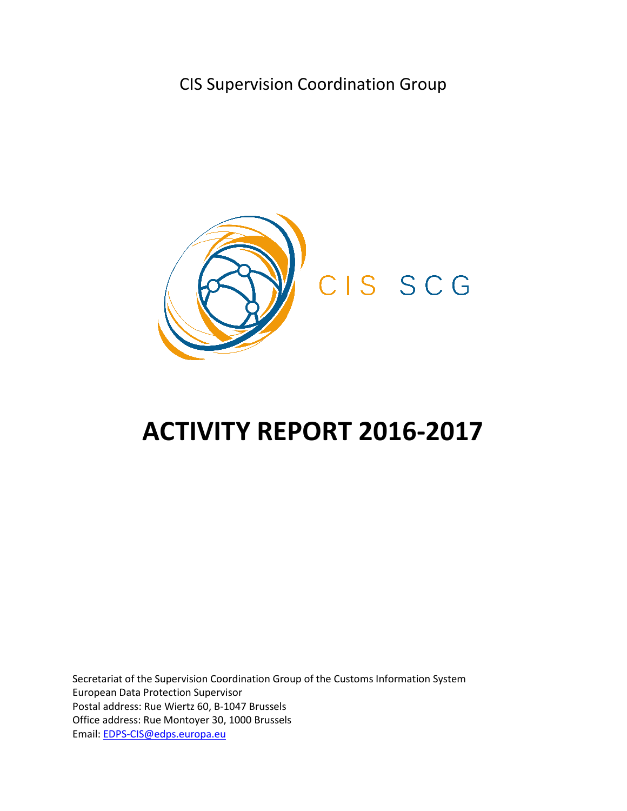CIS Supervision Coordination Group



# **ACTIVITY REPORT 2016-2017**

Secretariat of the Supervision Coordination Group of the Customs Information System European Data Protection Supervisor Postal address: Rue Wiertz 60, B-1047 Brussels Office address: Rue Montoyer 30, 1000 Brussels Email: [EDPS-CIS@edps.europa.eu](mailto:EDPS-CIS@edps.europa.eu)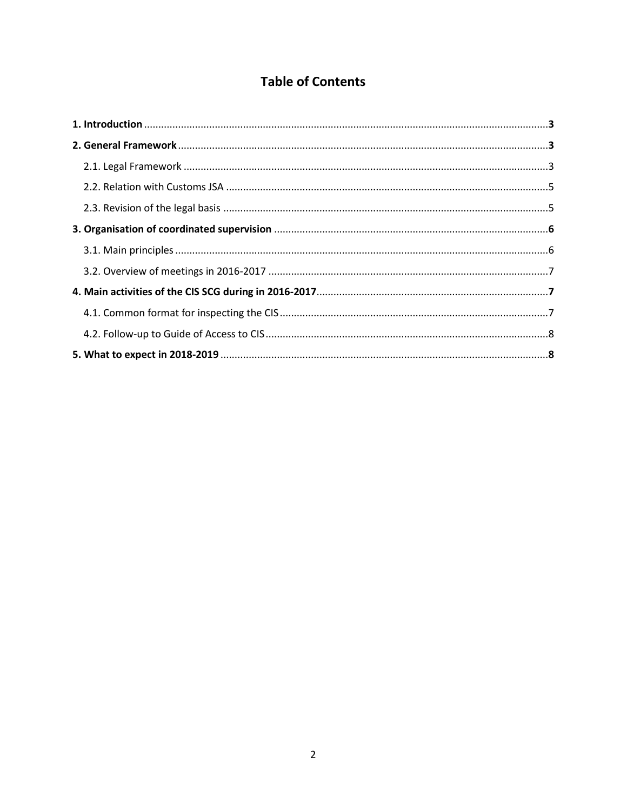## **Table of Contents**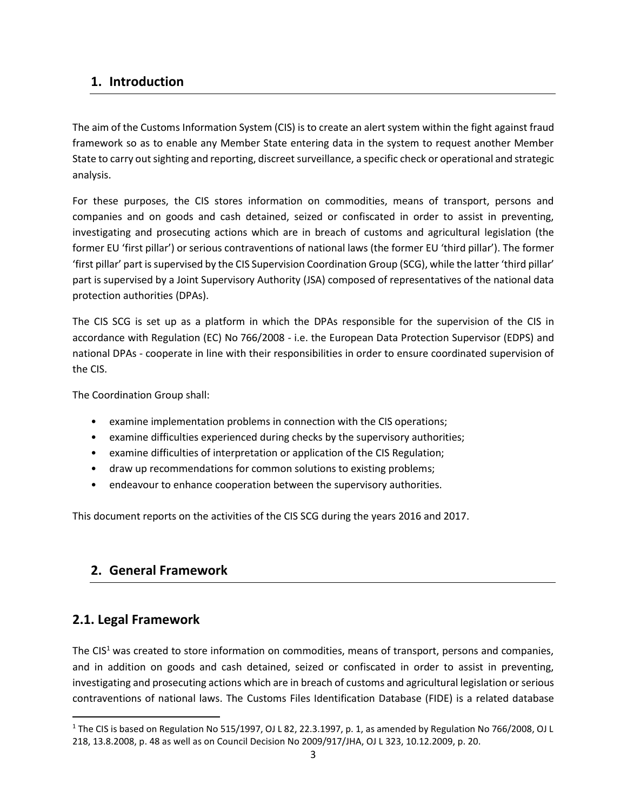## **1. Introduction**

The aim of the Customs Information System (CIS) is to create an alert system within the fight against fraud framework so as to enable any Member State entering data in the system to request another Member State to carry out sighting and reporting, discreet surveillance, a specific check or operational and strategic analysis.

For these purposes, the CIS stores information on commodities, means of transport, persons and companies and on goods and cash detained, seized or confiscated in order to assist in preventing, investigating and prosecuting actions which are in breach of customs and agricultural legislation (the former EU 'first pillar') or serious contraventions of national laws (the former EU 'third pillar'). The former 'first pillar' part is supervised by the CIS Supervision Coordination Group (SCG), while the latter 'third pillar' part is supervised by a Joint Supervisory Authority (JSA) composed of representatives of the national data protection authorities (DPAs).

The CIS SCG is set up as a platform in which the DPAs responsible for the supervision of the CIS in accordance with Regulation (EC) No 766/2008 - i.e. the European Data Protection Supervisor (EDPS) and national DPAs - cooperate in line with their responsibilities in order to ensure coordinated supervision of the CIS.

The Coordination Group shall:

- examine implementation problems in connection with the CIS operations;
- examine difficulties experienced during checks by the supervisory authorities;
- examine difficulties of interpretation or application of the CIS Regulation;
- draw up recommendations for common solutions to existing problems;
- endeavour to enhance cooperation between the supervisory authorities.

This document reports on the activities of the CIS SCG during the years 2016 and 2017.

## **2. General Framework**

## **2.1. Legal Framework**

 $\overline{a}$ 

The  $CIS<sup>1</sup>$  was created to store information on commodities, means of transport, persons and companies, and in addition on goods and cash detained, seized or confiscated in order to assist in preventing, investigating and prosecuting actions which are in breach of customs and agricultural legislation or serious contraventions of national laws. The Customs Files Identification Database (FIDE) is a related database

<sup>1</sup> The CIS is based on Regulation No 515/1997, OJ L 82, 22.3.1997, p. 1, as amended by Regulation No 766/2008, OJ L 218, 13.8.2008, p. 48 as well as on Council Decision No 2009/917/JHA, OJ L 323, 10.12.2009, p. 20.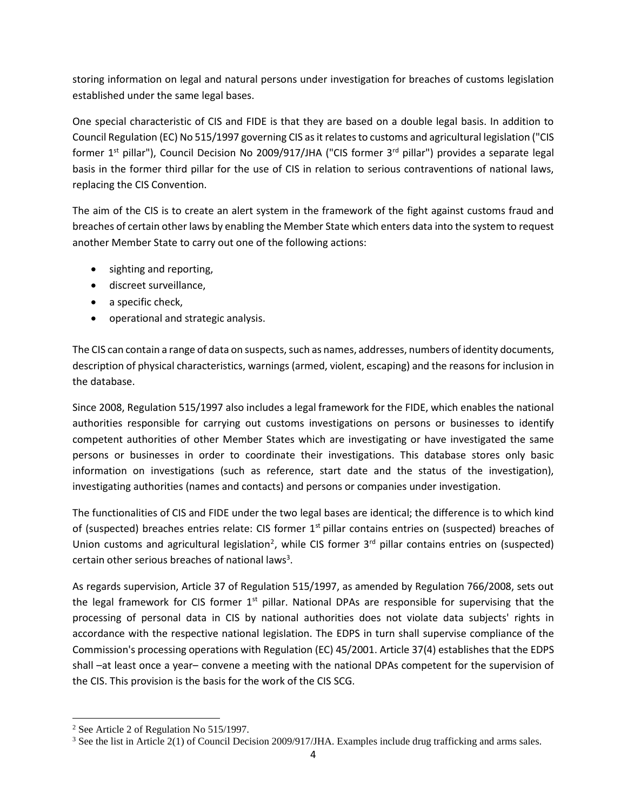storing information on legal and natural persons under investigation for breaches of customs legislation established under the same legal bases.

One special characteristic of CIS and FIDE is that they are based on a double legal basis. In addition to Council Regulation (EC) No 515/1997 governing CIS as it relates to customs and agricultural legislation ("CIS former 1<sup>st</sup> pillar"), Council Decision No 2009/917/JHA ("CIS former 3<sup>rd</sup> pillar") provides a separate legal basis in the former third pillar for the use of CIS in relation to serious contraventions of national laws, replacing the CIS Convention.

The aim of the CIS is to create an alert system in the framework of the fight against customs fraud and breaches of certain other laws by enabling the Member State which enters data into the system to request another Member State to carry out one of the following actions:

- sighting and reporting,
- discreet surveillance,
- a specific check,
- operational and strategic analysis.

The CIS can contain a range of data on suspects, such as names, addresses, numbers of identity documents, description of physical characteristics, warnings (armed, violent, escaping) and the reasons for inclusion in the database.

Since 2008, Regulation 515/1997 also includes a legal framework for the FIDE, which enables the national authorities responsible for carrying out customs investigations on persons or businesses to identify competent authorities of other Member States which are investigating or have investigated the same persons or businesses in order to coordinate their investigations. This database stores only basic information on investigations (such as reference, start date and the status of the investigation), investigating authorities (names and contacts) and persons or companies under investigation.

The functionalities of CIS and FIDE under the two legal bases are identical; the difference is to which kind of (suspected) breaches entries relate: CIS former 1<sup>st</sup> pillar contains entries on (suspected) breaches of Union customs and agricultural legislation<sup>2</sup>, while CIS former  $3<sup>rd</sup>$  pillar contains entries on (suspected) certain other serious breaches of national laws<sup>3</sup>.

As regards supervision, Article 37 of Regulation 515/1997, as amended by Regulation 766/2008, sets out the legal framework for CIS former 1<sup>st</sup> pillar. National DPAs are responsible for supervising that the processing of personal data in CIS by national authorities does not violate data subjects' rights in accordance with the respective national legislation. The EDPS in turn shall supervise compliance of the Commission's processing operations with Regulation (EC) 45/2001. Article 37(4) establishes that the EDPS shall –at least once a year– convene a meeting with the national DPAs competent for the supervision of the CIS. This provision is the basis for the work of the CIS SCG.

 $\overline{a}$ 

<sup>2</sup> See Article 2 of Regulation No 515/1997.

<sup>&</sup>lt;sup>3</sup> See the list in Article 2(1) of Council Decision 2009/917/JHA. Examples include drug trafficking and arms sales.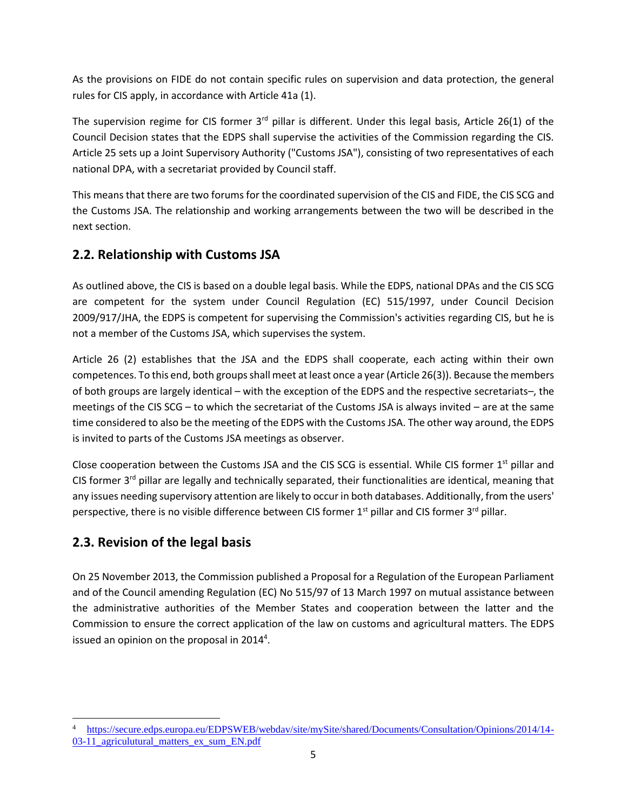As the provisions on FIDE do not contain specific rules on supervision and data protection, the general rules for CIS apply, in accordance with Article 41a (1).

The supervision regime for CIS former  $3<sup>rd</sup>$  pillar is different. Under this legal basis, Article 26(1) of the Council Decision states that the EDPS shall supervise the activities of the Commission regarding the CIS. Article 25 sets up a Joint Supervisory Authority ("Customs JSA"), consisting of two representatives of each national DPA, with a secretariat provided by Council staff.

This means that there are two forums for the coordinated supervision of the CIS and FIDE, the CIS SCG and the Customs JSA. The relationship and working arrangements between the two will be described in the next section.

## **2.2. Relationship with Customs JSA**

As outlined above, the CIS is based on a double legal basis. While the EDPS, national DPAs and the CIS SCG are competent for the system under Council Regulation (EC) 515/1997, under Council Decision 2009/917/JHA, the EDPS is competent for supervising the Commission's activities regarding CIS, but he is not a member of the Customs JSA, which supervises the system.

Article 26 (2) establishes that the JSA and the EDPS shall cooperate, each acting within their own competences. To this end, both groups shall meet at least once a year (Article 26(3)). Because the members of both groups are largely identical – with the exception of the EDPS and the respective secretariats–, the meetings of the CIS SCG – to which the secretariat of the Customs JSA is always invited – are at the same time considered to also be the meeting of the EDPS with the Customs JSA. The other way around, the EDPS is invited to parts of the Customs JSA meetings as observer.

Close cooperation between the Customs JSA and the CIS SCG is essential. While CIS former 1<sup>st</sup> pillar and CIS former  $3<sup>rd</sup>$  pillar are legally and technically separated, their functionalities are identical, meaning that any issues needing supervisory attention are likely to occur in both databases. Additionally, from the users' perspective, there is no visible difference between CIS former  $1<sup>st</sup>$  pillar and CIS former  $3<sup>rd</sup>$  pillar.

## **2.3. Revision of the legal basis**

 $\overline{a}$ 

On 25 November 2013, the Commission published a Proposal for a Regulation of the European Parliament and of the Council amending Regulation (EC) No 515/97 of 13 March 1997 on mutual assistance between the administrative authorities of the Member States and cooperation between the latter and the Commission to ensure the correct application of the law on customs and agricultural matters. The EDPS issued an opinion on the proposal in 2014<sup>4</sup>.

<sup>4</sup> [https://secure.edps.europa.eu/EDPSWEB/webdav/site/mySite/shared/Documents/Consultation/Opinions/2014/14-](https://secure.edps.europa.eu/EDPSWEB/webdav/site/mySite/shared/Documents/Consultation/Opinions/2014/14-03-11_agriculutural_matters_ex_sum_EN.pdf) 03-11 agriculutural matters ex sum EN.pdf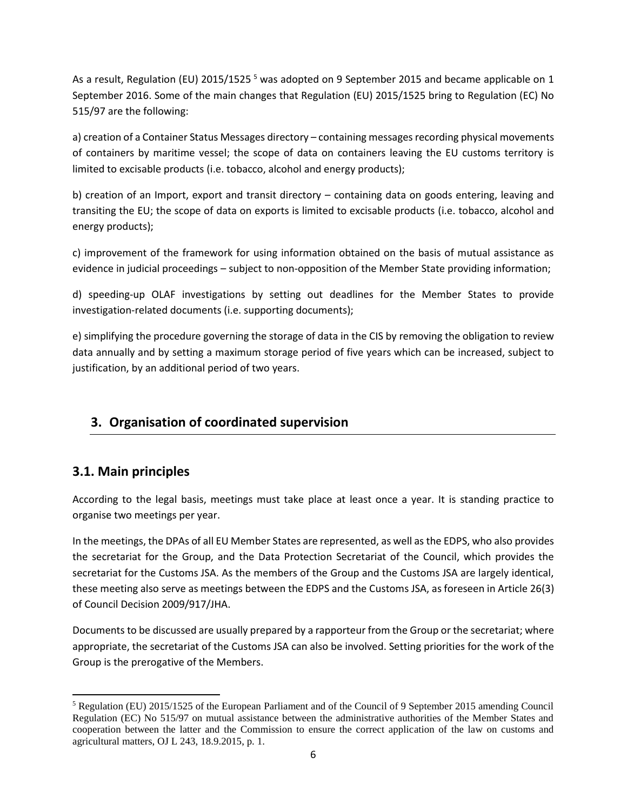As a result, Regulation (EU) 2015/1525<sup>5</sup> was adopted on 9 September 2015 and became applicable on 1 September 2016. Some of the main changes that Regulation (EU) 2015/1525 bring to Regulation (EC) No 515/97 are the following:

a) creation of a Container Status Messages directory – containing messages recording physical movements of containers by maritime vessel; the scope of data on containers leaving the EU customs territory is limited to excisable products (i.e. tobacco, alcohol and energy products);

b) creation of an Import, export and transit directory – containing data on goods entering, leaving and transiting the EU; the scope of data on exports is limited to excisable products (i.e. tobacco, alcohol and energy products);

c) improvement of the framework for using information obtained on the basis of mutual assistance as evidence in judicial proceedings – subject to non-opposition of the Member State providing information;

d) speeding-up OLAF investigations by setting out deadlines for the Member States to provide investigation-related documents (i.e. supporting documents);

e) simplifying the procedure governing the storage of data in the CIS by removing the obligation to review data annually and by setting a maximum storage period of five years which can be increased, subject to justification, by an additional period of two years.

## **3. Organisation of coordinated supervision**

## **3.1. Main principles**

According to the legal basis, meetings must take place at least once a year. It is standing practice to organise two meetings per year.

In the meetings, the DPAs of all EU Member States are represented, as well as the EDPS, who also provides the secretariat for the Group, and the Data Protection Secretariat of the Council, which provides the secretariat for the Customs JSA. As the members of the Group and the Customs JSA are largely identical, these meeting also serve as meetings between the EDPS and the Customs JSA, as foreseen in Article 26(3) of Council Decision 2009/917/JHA.

Documents to be discussed are usually prepared by a rapporteur from the Group or the secretariat; where appropriate, the secretariat of the Customs JSA can also be involved. Setting priorities for the work of the Group is the prerogative of the Members.

 $\overline{a}$ <sup>5</sup> Regulation (EU) 2015/1525 of the European Parliament and of the Council of 9 September 2015 amending Council Regulation (EC) No 515/97 on mutual assistance between the administrative authorities of the Member States and cooperation between the latter and the Commission to ensure the correct application of the law on customs and agricultural matters, OJ L 243, 18.9.2015, p. 1.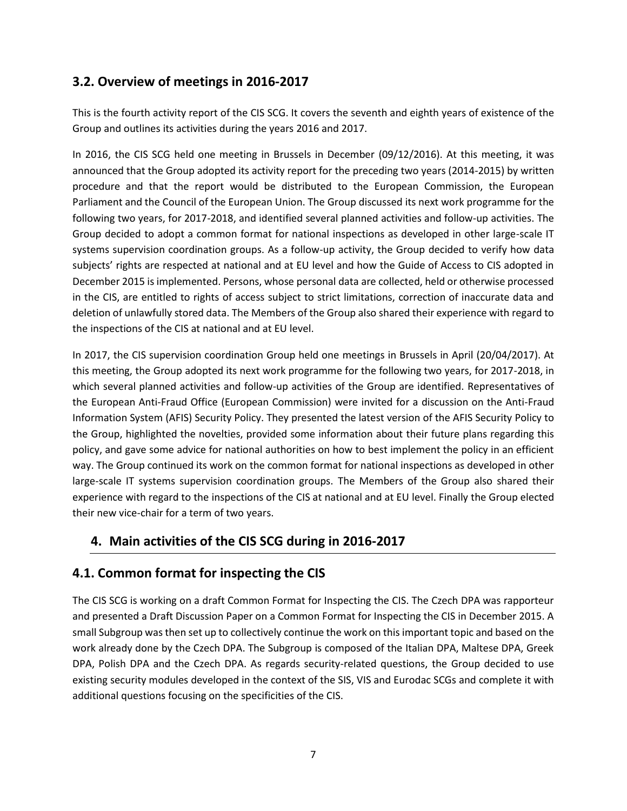#### **3.2. Overview of meetings in 2016-2017**

This is the fourth activity report of the CIS SCG. It covers the seventh and eighth years of existence of the Group and outlines its activities during the years 2016 and 2017.

In 2016, the CIS SCG held one meeting in Brussels in December (09/12/2016). At this meeting, it was announced that the Group adopted its activity report for the preceding two years (2014-2015) by written procedure and that the report would be distributed to the European Commission, the European Parliament and the Council of the European Union. The Group discussed its next work programme for the following two years, for 2017-2018, and identified several planned activities and follow-up activities. The Group decided to adopt a common format for national inspections as developed in other large-scale IT systems supervision coordination groups. As a follow-up activity, the Group decided to verify how data subjects' rights are respected at national and at EU level and how the Guide of Access to CIS adopted in December 2015 is implemented. Persons, whose personal data are collected, held or otherwise processed in the CIS, are entitled to rights of access subject to strict limitations, correction of inaccurate data and deletion of unlawfully stored data. The Members of the Group also shared their experience with regard to the inspections of the CIS at national and at EU level.

In 2017, the CIS supervision coordination Group held one meetings in Brussels in April (20/04/2017). At this meeting, the Group adopted its next work programme for the following two years, for 2017-2018, in which several planned activities and follow-up activities of the Group are identified. Representatives of the European Anti-Fraud Office (European Commission) were invited for a discussion on the Anti-Fraud Information System (AFIS) Security Policy. They presented the latest version of the AFIS Security Policy to the Group, highlighted the novelties, provided some information about their future plans regarding this policy, and gave some advice for national authorities on how to best implement the policy in an efficient way. The Group continued its work on the common format for national inspections as developed in other large-scale IT systems supervision coordination groups. The Members of the Group also shared their experience with regard to the inspections of the CIS at national and at EU level. Finally the Group elected their new vice-chair for a term of two years.

## **4. Main activities of the CIS SCG during in 2016-2017**

## **4.1. Common format for inspecting the CIS**

The CIS SCG is working on a draft Common Format for Inspecting the CIS. The Czech DPA was rapporteur and presented a Draft Discussion Paper on a Common Format for Inspecting the CIS in December 2015. A small Subgroup was then set up to collectively continue the work on this important topic and based on the work already done by the Czech DPA. The Subgroup is composed of the Italian DPA, Maltese DPA, Greek DPA, Polish DPA and the Czech DPA. As regards security-related questions, the Group decided to use existing security modules developed in the context of the SIS, VIS and Eurodac SCGs and complete it with additional questions focusing on the specificities of the CIS.